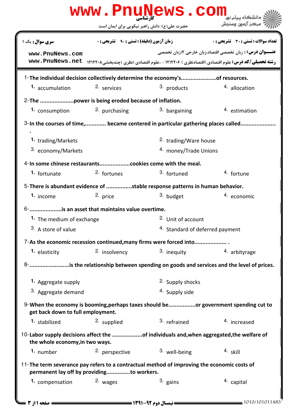|                                                   | حضرت علی(ع): دانش راهبر نیکویی برای ایمان است     | www.PnuNews.com                                                                             | مركز آزمون وسنجش                                                                                                  |
|---------------------------------------------------|---------------------------------------------------|---------------------------------------------------------------------------------------------|-------------------------------------------------------------------------------------------------------------------|
| <b>سری سوال :</b> یک ۱                            | <b>زمان آزمون (دقیقه) : تستی : ۹۰٪ تشریحی : 0</b> |                                                                                             | <b>تعداد سوالات : تستی : 30 ٪ تشریحی : 0</b>                                                                      |
|                                                   |                                                   |                                                                                             | <b>عنـــوان درس:</b> ( زبان تخصصی اقتصاد،زبان خارجی ۲(زبان تخصصی                                                  |
| www.PnuNews.com                                   |                                                   |                                                                                             | رشته تحصیلی/کد درس: علوم اقتصادی (اقتصادنظری ) ۱۲۱۲۲۰۶ - ،علوم اقتصادی (نظری )چندبخشی۱۲۱۲۲۰۸ - www. PnuNews . net |
|                                                   |                                                   |                                                                                             |                                                                                                                   |
|                                                   |                                                   | 1-The individual decision collectively determine the economy'sof resources.                 |                                                                                                                   |
| 1. accumulation                                   | 2. services                                       | 3. products                                                                                 | 4. allocation                                                                                                     |
| 2-The power is being eroded because of inflation. |                                                   |                                                                                             |                                                                                                                   |
| <b>1.</b> consumption                             | 2. purchasing                                     | 3. bargaining                                                                               | 4. estimation                                                                                                     |
|                                                   |                                                   | 3-In the courses of time, became centered in particular gathering places called             |                                                                                                                   |
| 1. trading/Markets                                |                                                   | <sup>2.</sup> trading/Ware house                                                            |                                                                                                                   |
| 3. economy/Markets                                |                                                   | 4. money/Trade Unions                                                                       |                                                                                                                   |
|                                                   |                                                   |                                                                                             |                                                                                                                   |
| 1. fortunate                                      | 2. fortunes                                       | 3. fortuned                                                                                 | 4. fortune                                                                                                        |
|                                                   |                                                   |                                                                                             |                                                                                                                   |
|                                                   |                                                   | 5-There is abundant evidence of stable response patterns in human behavior.                 |                                                                                                                   |
| 1. income                                         | 2. price                                          | 3. budget                                                                                   | 4. economic                                                                                                       |
| 6- is an asset that maintains value overtime.     |                                                   |                                                                                             |                                                                                                                   |
| 1. The medium of exchange                         |                                                   | <sup>2.</sup> Unit of account                                                               |                                                                                                                   |
| 3. A store of value                               |                                                   | 4. Standard of deferred payment                                                             |                                                                                                                   |
|                                                   |                                                   | 7-As the economic recession continued, many firms were forced into                          |                                                                                                                   |
| 1. elasticity                                     | 2. insolvency                                     | 3. inequity                                                                                 | 4. arbityrage                                                                                                     |
|                                                   |                                                   |                                                                                             | 8- is the relationship between spending on goods and services and the level of prices.                            |
| 1. Aggregate supply                               |                                                   | 2. Supply shocks                                                                            |                                                                                                                   |
| 3. Aggregate demand                               |                                                   | 4. Supply side                                                                              |                                                                                                                   |
| get back down to full employment.                 |                                                   |                                                                                             | 9-When the economy is booming, perhaps taxes should beor government spending cut to                               |
| 1. stabilized                                     | 2. supplied                                       | 3. refrained                                                                                | 4. increased                                                                                                      |
| the whole economy, in two ways.                   |                                                   | 10-Labor supply decisions affect the of individuals and, when aggregated, the welfare of    |                                                                                                                   |
| 1. number                                         | <sup>2.</sup> perspective                         | 3. well-being                                                                               | $4.$ skill                                                                                                        |
| permanent lay off by providingto workers.         |                                                   | 11-The term severance pay refers to a contractual method of improving the economic costs of |                                                                                                                   |
| 1. compensation                                   | 2. wages                                          | 3. gains                                                                                    | 4. capital                                                                                                        |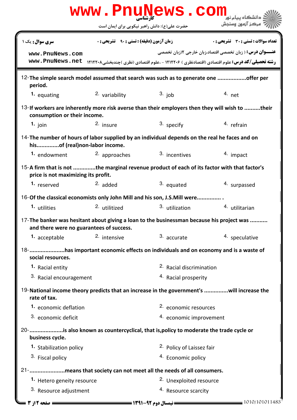|                                                                                                                                    |                                                   | www.PnuNews.com                               |                                                                                                                                                                         |  |  |
|------------------------------------------------------------------------------------------------------------------------------------|---------------------------------------------------|-----------------------------------------------|-------------------------------------------------------------------------------------------------------------------------------------------------------------------------|--|--|
|                                                                                                                                    |                                                   | حضرت علی(ع): دانش راهبر نیکویی برای ایمان است | ' مرڪز آزمون وسنڊش                                                                                                                                                      |  |  |
| <b>سری سوال :</b> یک ۱                                                                                                             | <b>زمان آزمون (دقیقه) : تستی : ۹۰٪ تشریحی : 0</b> |                                               | <b>تعداد سوالات : تستی : 30 ٪ تشریحی : 0</b>                                                                                                                            |  |  |
| www.PnuNews.com<br>www.PnuNews.net                                                                                                 |                                                   |                                               | <b>عنـــوان درس:</b> ( زبان تخصصی اقتصاد،زبان خارجی ۲(زبان تخصصی<br><b>رشته تحصیلی/کد درس:</b> علوم اقتصادی (اقتصادنظری ) ۱۲۱۲۲۰۶ - ،علوم اقتصادی (نظری )چندبخشی۱۲۱۲۲۰۸ |  |  |
| period.                                                                                                                            |                                                   |                                               | 12-The simple search model assumed that search was such as to generate one offer per                                                                                    |  |  |
| 1. equating                                                                                                                        | 2. variability                                    | $3.$ job                                      | $4.$ net                                                                                                                                                                |  |  |
| consumption or their income.                                                                                                       |                                                   |                                               | 13-If workers are inherently more risk averse than their employers then they will wish to their                                                                         |  |  |
| 1. join                                                                                                                            | 2. insure                                         | $3.$ specify                                  | 4. refrain                                                                                                                                                              |  |  |
| 14-The number of hours of labor supplied by an individual depends on the real he faces and on<br>hisof (real)non-labor income.     |                                                   |                                               |                                                                                                                                                                         |  |  |
| 1. endowment                                                                                                                       | 2. approaches                                     | 3. incentives                                 | 4. impact                                                                                                                                                               |  |  |
| 15-A firm that is not the marginal revenue product of each of its factor with that factor's<br>price is not maximizing its profit. |                                                   |                                               |                                                                                                                                                                         |  |  |
| 1. reserved                                                                                                                        | $2.$ added                                        | 3. equated                                    | 4. surpassed                                                                                                                                                            |  |  |
| 16-Of the classical economists only John Mill and his son, J.S.Mill were                                                           |                                                   |                                               |                                                                                                                                                                         |  |  |
| 1. utilities                                                                                                                       | <sup>2.</sup> utilitized                          | 3. utilization                                | 4. utilitarian                                                                                                                                                          |  |  |
| and there were no guarantees of success.                                                                                           |                                                   |                                               | 17-The banker was hesitant about giving a loan to the businessman because his project was                                                                               |  |  |
| 1. acceptable                                                                                                                      | 2. intensive                                      | 3. accurate                                   | 4. speculative                                                                                                                                                          |  |  |
| 18- has important economic effects on individuals and on economy and is a waste of<br>social resources.                            |                                                   |                                               |                                                                                                                                                                         |  |  |
| 1. Racial entity                                                                                                                   |                                                   | <sup>2</sup> . Racial discrimination          |                                                                                                                                                                         |  |  |
| 3. Racial encouragement                                                                                                            |                                                   | 4. Racial prosperity                          |                                                                                                                                                                         |  |  |
| rate of tax.                                                                                                                       |                                                   |                                               | 19-National income theory predicts that an increase in the government's will increase the                                                                               |  |  |
| 1. economic deflation                                                                                                              |                                                   |                                               | 2. economic resources                                                                                                                                                   |  |  |
| 3. economic deficit                                                                                                                |                                                   | 4. economic improvement                       |                                                                                                                                                                         |  |  |
| 20- is also known as countercyclical, that is, policy to moderate the trade cycle or<br>business cycle.                            |                                                   |                                               |                                                                                                                                                                         |  |  |
| 1. Stabilization policy                                                                                                            |                                                   |                                               | 2. Policy of Laissez fair                                                                                                                                               |  |  |
| 3. Fiscal policy                                                                                                                   |                                                   | 4. Economic policy                            |                                                                                                                                                                         |  |  |
| 21- means that society can not meet all the needs of all consumers.                                                                |                                                   |                                               |                                                                                                                                                                         |  |  |
| 1. Hetero geneity resource                                                                                                         |                                                   | <sup>2.</sup> Unexploited resource            |                                                                                                                                                                         |  |  |
| 3. Resource adjustment                                                                                                             |                                                   | 4. Resource scarcity                          |                                                                                                                                                                         |  |  |
| <b>صفحه 12; 3 =</b>                                                                                                                |                                                   |                                               | $\equiv$ 1010/101011483                                                                                                                                                 |  |  |